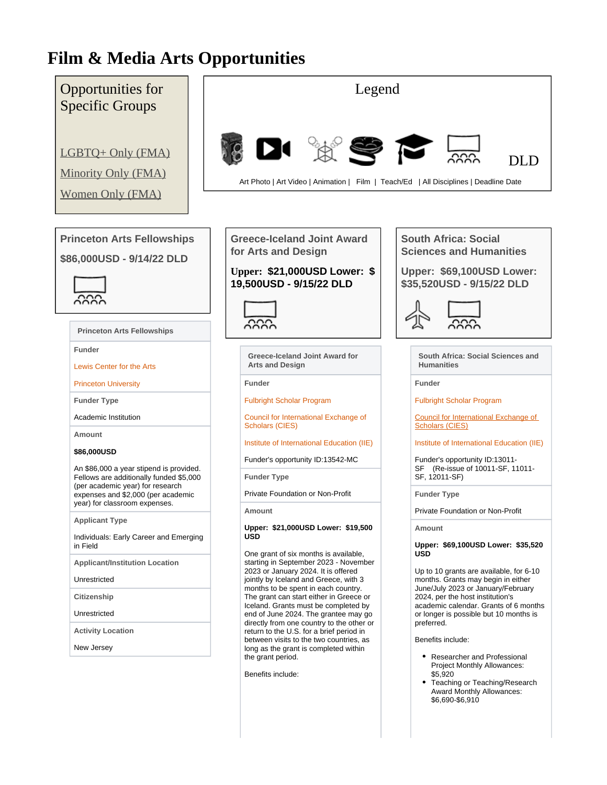# **Film & Media Arts Opportunities**

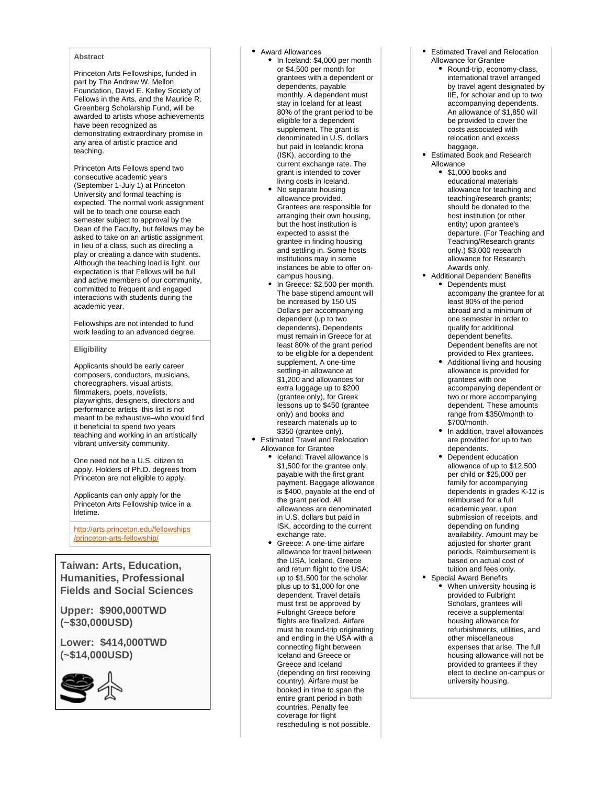#### **Abstract**

Princeton Arts Fellowships, funded in part by The Andrew W. Mellon Foundation, David E. Kelley Society of Fellows in the Arts, and the Maurice R. Greenberg Scholarship Fund, will be awarded to artists whose achievements have been recognized as demonstrating extraordinary promise in any area of artistic practice and teaching.

Princeton Arts Fellows spend two consecutive academic years (September 1-July 1) at Princeton University and formal teaching is expected. The normal work assignment will be to teach one course each semester subject to approval by the Dean of the Faculty, but fellows may be asked to take on an artistic assignment in lieu of a class, such as directing a play or creating a dance with students. Although the teaching load is light, our expectation is that Fellows will be full and active members of our community, committed to frequent and engaged interactions with students during the academic year.

Fellowships are not intended to fund work leading to an advanced degree.

## **Eligibility**

Applicants should be early career composers, conductors, musicians, choreographers, visual artists, filmmakers, poets, novelists, playwrights, designers, directors and performance artists–this list is not meant to be exhaustive–who would find it beneficial to spend two years teaching and working in an artistically vibrant university community.

One need not be a U.S. citizen to apply. Holders of Ph.D. degrees from Princeton are not eligible to apply.

Applicants can only apply for the Princeton Arts Fellowship twice in a lifetime.

[http://arts.princeton.edu/fellowships](http://arts.princeton.edu/fellowships/princeton-arts-fellowship/) [/princeton-arts-fellowship/](http://arts.princeton.edu/fellowships/princeton-arts-fellowship/)

**Taiwan: Arts, Education, Humanities, Professional Fields and Social Sciences**

**Upper: \$900,000TWD (~\$30,000USD)** 

**Lower: \$414,000TWD (~\$14,000USD)**



#### Award Allowances

- In Iceland: \$4,000 per month or \$4,500 per month for grantees with a dependent or dependents, payable monthly. A dependent must stay in Iceland for at least 80% of the grant period to be eligible for a dependent supplement. The grant is denominated in U.S. dollars but paid in Icelandic krona (ISK), according to the current exchange rate. The grant is intended to cover living costs in Iceland.
- No separate housing allowance provided. Grantees are responsible for arranging their own housing, but the host institution is expected to assist the grantee in finding housing and settling in. Some hosts institutions may in some instances be able to offer oncampus housing.
- In Greece: \$2,500 per month. The base stipend amount will be increased by 150 US Dollars per accompanying dependent (up to two dependents). Dependents must remain in Greece for at least 80% of the grant period to be eligible for a dependent supplement. A one-time settling-in allowance at \$1,200 and allowances for extra luggage up to \$200 (grantee only), for Greek lessons up to \$450 (grantee only) and books and research materials up to \$350 (grantee only).
- Estimated Travel and Relocation Allowance for Grantee
	- Iceland: Travel allowance is \$1,500 for the grantee only, payable with the first grant payment. Baggage allowance is \$400, payable at the end of the grant period. All allowances are denominated in U.S. dollars but paid in ISK, according to the current exchange rate.
	- Greece: A one-time airfare allowance for travel between the USA, Iceland, Greece and return flight to the USA: up to \$1,500 for the scholar plus up to \$1,000 for one dependent. Travel details must first be approved by Fulbright Greece before flights are finalized. Airfare must be round-trip originating and ending in the USA with a connecting flight between Iceland and Greece or Greece and Iceland (depending on first receiving country). Airfare must be booked in time to span the entire grant period in both countries. Penalty fee coverage for flight rescheduling is not possible.
- Estimated Travel and Relocation Allowance for Grantee
	- Round-trip, economy-class, international travel arranged by travel agent designated by IIE, for scholar and up to two accompanying dependents. An allowance of \$1,850 will be provided to cover the costs associated with relocation and excess baggage.
- Estimated Book and Research Allowance
	- \$1,000 books and educational materials allowance for teaching and teaching/research grants; should be donated to the host institution (or other entity) upon grantee's departure. (For Teaching and Teaching/Research grants only.) \$3,000 research allowance for Research Awards only.
- Additional Dependent Benefits Dependents must accompany the grantee for at least 80% of the period abroad and a minimum of one semester in order to qualify for additional dependent benefits. Dependent benefits are not provided to Flex grantees.
	- Additional living and housing allowance is provided for grantees with one accompanying dependent or two or more accompanying dependent. These amounts range from \$350/month to \$700/month.
	- In addition, travel allowances are provided for up to two dependents.
	- Dependent education allowance of up to \$12,500 per child or \$25,000 per family for accompanying dependents in grades K-12 is reimbursed for a full academic year, upon submission of receipts, and depending on funding availability. Amount may be adjusted for shorter grant periods. Reimbursement is based on actual cost of tuition and fees only.
- Special Award Benefits When university housing is provided to Fulbright Scholars, grantees will receive a supplemental housing allowance for refurbishments, utilities, and other miscellaneous expenses that arise. The full housing allowance will not be provided to grantees if they elect to decline on-campus or university housing.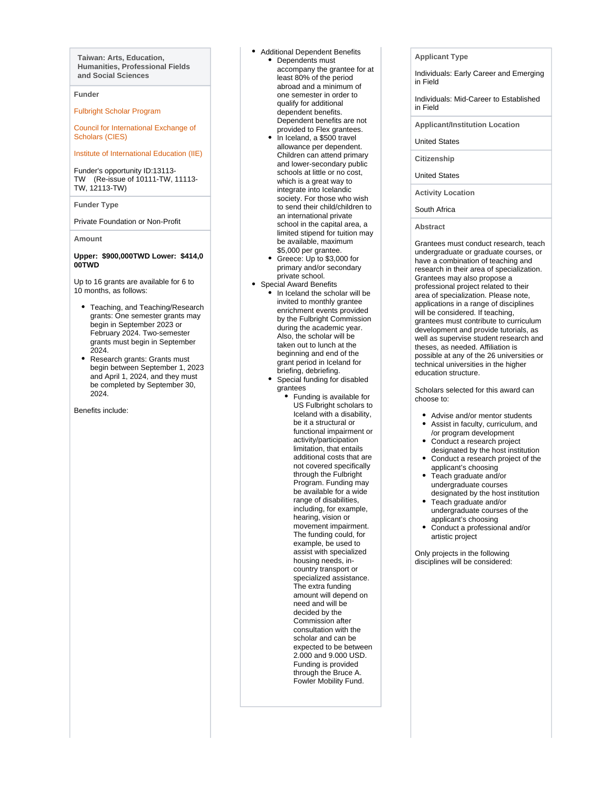**Taiwan: Arts, Education, Humanities, Professional Fields and Social Sciences**

#### **Funder**

[Fulbright Scholar Program](https://pivot.proquest.com/funding/results?quick_search=true&sponsorId=%2225bb4213-3847-4860-9348-d1d75de8f0f3%22&sponsorParentId=%2225bb4213-3847-4860-9348-d1d75de8f0f3%22)

[Council for International Exchange of](https://pivot.proquest.com/funding/results?quick_search=true&sponsorId=%22405b21e2-9101-49ba-93a7-d1d75de8f0f3%22&sponsorParentId=%22405b21e2-9101-49ba-93a7-d1d75de8f0f3%22)  [Scholars \(CIES\)](https://pivot.proquest.com/funding/results?quick_search=true&sponsorId=%22405b21e2-9101-49ba-93a7-d1d75de8f0f3%22&sponsorParentId=%22405b21e2-9101-49ba-93a7-d1d75de8f0f3%22)

#### [Institute of International Education \(IIE\)](https://pivot.proquest.com/funding/results?quick_search=true&sponsorId=%22653866ed-e73b-45c7-a380-d1d75de8f0f3%22&sponsorParentId=%22653866ed-e73b-45c7-a380-d1d75de8f0f3%22)

Funder's opportunity ID:13113- TW (Re-issue of 10111-TW, 11113- TW, 12113-TW)

#### **Funder Type**

Private Foundation or Non-Profit

#### **Amount**

#### **Upper: \$900,000TWD Lower: \$414,0 00TWD**

Up to 16 grants are available for 6 to 10 months, as follows:

- Teaching, and Teaching/Research grants: One semester grants may begin in September 2023 or February 2024. Two-semester grants must begin in September 2024.
- Research grants: Grants must begin between September 1, 2023 and April 1, 2024, and they must be completed by September 30, 2024.

Benefits include:

- Additional Dependent Benefits • Dependents must accompany the grantee for at least 80% of the period abroad and a minimum of one semester in order to qualify for additional dependent benefits. Dependent benefits are not provided to Flex grantees.
	- In Iceland, a \$500 travel allowance per dependent. Children can attend primary and lower-secondary public schools at little or no cost, which is a great way to integrate into Icelandic society. For those who wish to send their child/children to an international private school in the capital area, a limited stipend for tuition may be available, maximum \$5,000 per grantee.
	- Greece: Up to \$3,000 for primary and/or secondary private school.
- Special Award Benefits
	- In Iceland the scholar will be invited to monthly grantee enrichment events provided by the Fulbright Commission during the academic year. Also, the scholar will be taken out to lunch at the beginning and end of the grant period in Iceland for briefing, debriefing.
	- Special funding for disabled grantees
		- Funding is available for US Fulbright scholars to Iceland with a disability, be it a structural or functional impairment or activity/participation limitation, that entails additional costs that are not covered specifically through the Fulbright Program. Funding may be available for a wide range of disabilities, including, for example, hearing, vision or movement impairment. The funding could, for example, be used to assist with specialized housing needs, incountry transport or specialized assistance. The extra funding amount will depend on need and will be decided by the Commission after consultation with the scholar and can be expected to be between 2.000 and 9.000 USD. Funding is provided through the Bruce A. Fowler Mobility Fund.

**Applicant Type**

Individuals: Early Career and Emerging in Field

Individuals: Mid-Career to Established in Field

**Applicant/Institution Location**

United States

**Citizenship**

United States

**Activity Location**

South Africa

**Abstract**

Grantees must conduct research, teach undergraduate or graduate courses, or have a combination of teaching and research in their area of specialization. Grantees may also propose a professional project related to their area of specialization. Please note, applications in a range of disciplines will be considered. If teaching, grantees must contribute to curriculum development and provide tutorials, as well as supervise student research and theses, as needed. Affiliation is possible at any of the 26 universities or technical universities in the higher education structure.

Scholars selected for this award can choose to:

- Advise and/or mentor students Assist in faculty, curriculum, and
- /or program development Conduct a research project
- designated by the host institution Conduct a research project of the
- applicant's choosing Teach graduate and/or
- undergraduate courses designated by the host institution
- Teach graduate and/or undergraduate courses of the applicant's choosing
- Conduct a professional and/or artistic project

Only projects in the following disciplines will be considered: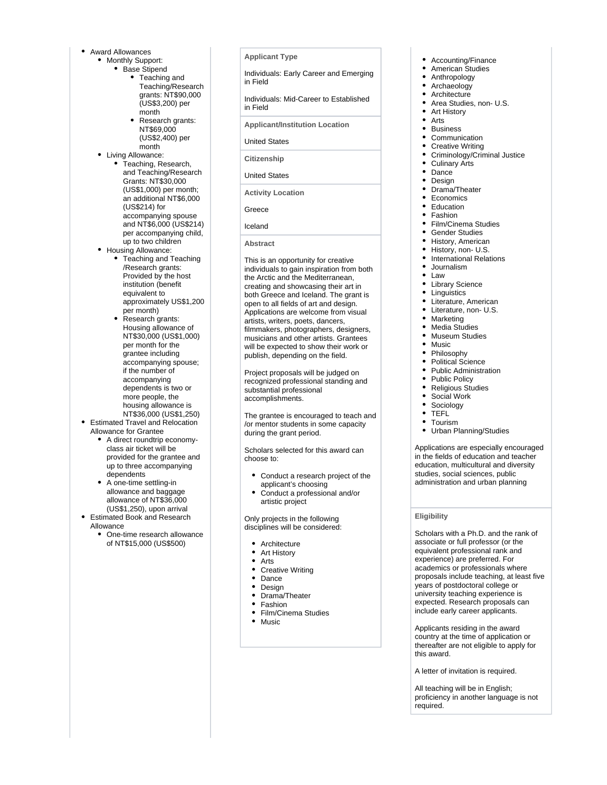- Award Allowances
	- Monthly Support:
		- Base Stipend
			- Teaching and Teaching/Research grants: NT\$90,000 (US\$3,200) per month
			- Research grants: NT\$69,000 (US\$2,400) per month
	- Living Allowance:
		- Teaching, Research, and Teaching/Research Grants: NT\$30,000 (US\$1,000) per month; an additional NT\$6,000 (US\$214) for accompanying spouse and NT\$6,000 (US\$214) per accompanying child, up to two children
	- Housing Allowance: • Teaching and Teaching /Research grants: Provided by the host institution (benefit equivalent to
		- approximately US\$1,200 per month) Research grants: Housing allowance of NT\$30,000 (US\$1,000) per month for the grantee including accompanying spouse; if the number of accompanying dependents is two or more people, the

# housing allowance is

- NT\$36,000 (US\$1,250) • Estimated Travel and Relocation
	- Allowance for Grantee A direct roundtrip economyclass air ticket will be provided for the grantee and up to three accompanying dependents
	- A one-time settling-in allowance and baggage allowance of NT\$36,000 (US\$1,250), upon arrival
- Estimated Book and Research Allowance
	- One-time research allowance of NT\$15,000 (US\$500)

**Applicant Type**

Individuals: Early Career and Emerging in Field

Individuals: Mid-Career to Established in Field

**Applicant/Institution Location**

United States

**Citizenship**

United States

**Activity Location**

Greece

Iceland

#### **Abstract**

This is an opportunity for creative individuals to gain inspiration from both the Arctic and the Mediterranean, creating and showcasing their art in both Greece and Iceland. The grant is open to all fields of art and design. Applications are welcome from visual artists, writers, poets, dancers, filmmakers, photographers, designers, musicians and other artists. Grantees will be expected to show their work or publish, depending on the field.

Project proposals will be judged on recognized professional standing and substantial professional accomplishments.

The grantee is encouraged to teach and /or mentor students in some capacity during the grant period.

Scholars selected for this award can choose to:

- Conduct a research project of the applicant's choosing
- Conduct a professional and/or artistic project

Only projects in the following disciplines will be considered:

- Architecture
- Art History
- Arts
- Creative Writing
- Dance
- Design
- Drama/Theater  $\bullet$
- Fashion Film/Cinema Studies  $\bullet$
- $\bullet$ Music
- Accounting/Finance
- American Studies
- Anthropology
- Archaeology
- $\bullet$ **Architecture**
- Area Studies, non- U.S.
- Art History  $\bullet$
- Arts
- Business
- Communication Creative Writing
- 
- Criminology/Criminal Justice
- Culinary Arts Dance
- $\bullet$
- Design Drama/Theater
- **Economics**
- $\bullet$
- Education
- $\bullet$ Fashion
- Film/Cinema Studies
- $\bullet$ Gender Studies
- History, American
- History, non- U.S.
- $\bullet$ International Relations
- Journalism
- Law
- Library Science
- **Linguistics**
- Literature, American
- Literature, non- U.S.
- Marketing
- $\bullet$ Media Studies
- Museum Studies
- Music
- $\bullet$ Philosophy
- Political Science
- Public Administration
- Public Policy  $\bullet$
- Religious Studies  $\bullet$
- Social Work
- Sociology
- $\bullet$ TEFL
- Tourism
- Urban Planning/Studies

Applications are especially encouraged in the fields of education and teacher education, multicultural and diversity studies, social sciences, public administration and urban planning

#### **Eligibility**

Scholars with a Ph.D. and the rank of associate or full professor (or the equivalent professional rank and experience) are preferred. For academics or professionals where proposals include teaching, at least five years of postdoctoral college or university teaching experience is expected. Research proposals can include early career applicants.

Applicants residing in the award country at the time of application or thereafter are not eligible to apply for this award.

A letter of invitation is required.

All teaching will be in English; proficiency in another language is not required.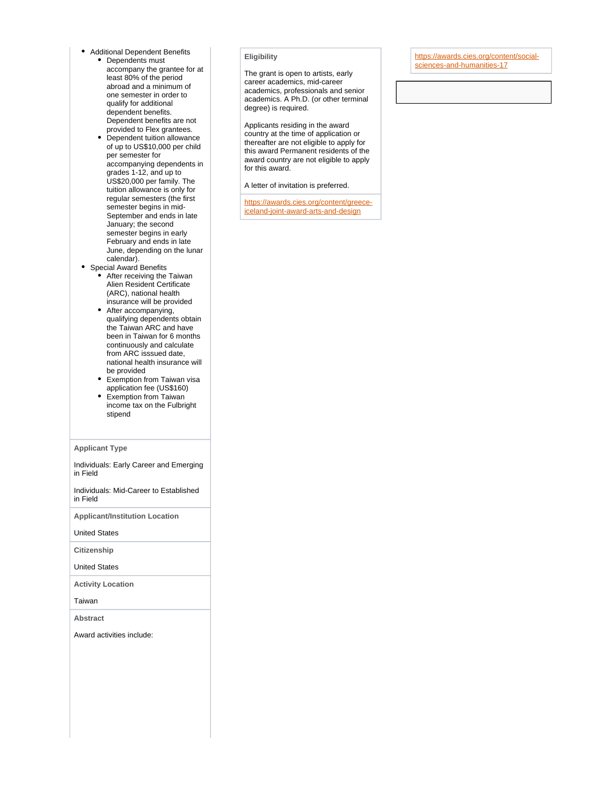- Additional Dependent Benefits
	- Dependents must accompany the grantee for at least 80% of the period abroad and a minimum of one semester in order to qualify for additional dependent benefits. Dependent benefits are not
	- provided to Flex grantees. Dependent tuition allowance of up to US\$10,000 per child per semester for accompanying dependents in grades 1-12, and up to US\$20,000 per family. The tuition allowance is only for regular semesters (the first semester begins in mid-September and ends in late January; the second semester begins in early February and ends in late June, depending on the lunar calendar).

#### • Special Award Benefits After receiving the Taiwan Alien Resident Certificate (ARC), national health insurance will be provided

- After accompanying, qualifying dependents obtain the Taiwan ARC and have been in Taiwan for 6 months continuously and calculate from ARC isssued date, national health insurance will be provided
- Exemption from Taiwan visa application fee (US\$160)
- Exemption from Taiwan income tax on the Fulbright stipend

#### **Applicant Type**

Individuals: Early Career and Emerging in Field

Individuals: Mid-Career to Established in Field

**Applicant/Institution Location**

United States

**Citizenship**

United States

**Activity Location**

Taiwan

**Abstract**

Award activities include:

## **Eligibility**

The grant is open to artists, early career academics, mid-career academics, professionals and senior academics. A Ph.D. (or other terminal degree) is required.

Applicants residing in the award country at the time of application or thereafter are not eligible to apply for this award Permanent residents of the award country are not eligible to apply for this award.

A letter of invitation is preferred.

[https://awards.cies.org/content/greece](https://awards.cies.org/content/greece-iceland-joint-award-arts-and-design)[iceland-joint-award-arts-and-design](https://awards.cies.org/content/greece-iceland-joint-award-arts-and-design)

[https://awards.cies.org/content/social](https://awards.cies.org/content/social-sciences-and-humanities-17)[sciences-and-humanities-17](https://awards.cies.org/content/social-sciences-and-humanities-17)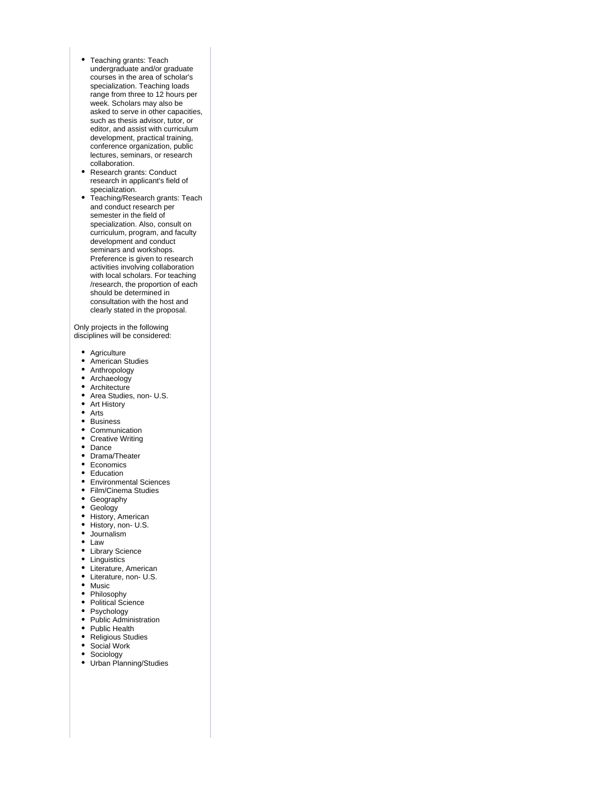- Teaching grants: Teach undergraduate and/or graduate courses in the area of scholar's specialization. Teaching loads range from three to 12 hours per week. Scholars may also be asked to serve in other capacities, such as thesis advisor, tutor, or editor, and assist with curriculum development, practical training, conference organization, public lectures, seminars, or research collaboration.
- Research grants: Conduct research in applicant's field of specialization.
- Teaching/Research grants: Teach and conduct research per semester in the field of specialization. Also, consult on curriculum, program, and faculty development and conduct seminars and workshops. Preference is given to research activities involving collaboration with local scholars. For teaching /research, the proportion of each should be determined in consultation with the host and clearly stated in the proposal.

Only projects in the following disciplines will be considered:

- Agriculture
- American Studies  $\bullet$
- Anthropology
- Archaeology
- Architecture
- Area Studies, non- U.S.
- Art History
- Arts
- Business
- Communication
- Creative Writing
- Dance
- Drama/Theater
- Economics
- Education
- Environmental Sciences
- Film/Cinema Studies
- Geography
- Geology
- 
- History, American History, non- U.S.
- Journalism
- Law
- 
- Library Science
- Linguistics
- Literature, American
- Literature, non- U.S.
- Music
- Philosophy
- Political Science
- Psychology
- Public Administration
- Public Health
- Religious Studies
- Social Work
- $\bullet$ Sociology
- Urban Planning/Studies